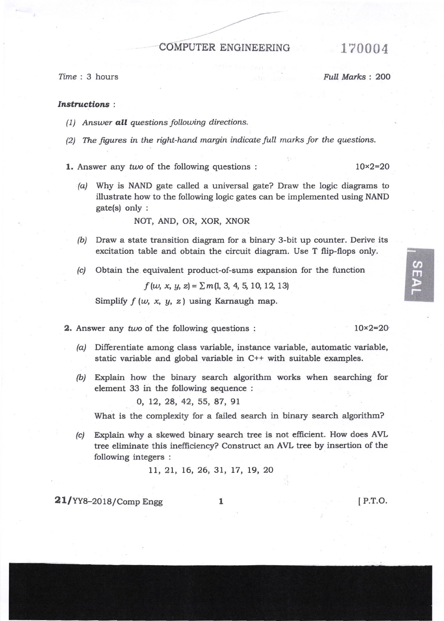## COMPUTER ENGINEERING 170004

fime : 3 hours Full Marks : 2OO

## Instructions:

- $(1)$  Answer all questions following directions.
- (2) The figures in the right-hand margin indicate full marks for the questions.
- **1.** Answer any two of the following questions :  $10 \times 2 = 20$ 
	- (a) Why is NAND gate called a universal gate? Draw the logic diagrams to illustrate how to the following logic gates can be implemented using NAND gate(s) only :

NOT, AND, OR, XOR, XNOR

- $(b)$  Draw a state transition diagram for a binary 3-bit up counter. Derive its excitation table and obtain the circuit diagram. Use T flip-flops only.
- (c) Obtain the equivalent product-of-sums expansion for the function

 $f(w, x, y, z) = \sum m(1, 3, 4, 5, 10, 12, 13)$ 

Simplify  $f(w, x, y, z)$  using Karnaugh map.

- 2. Answer any two of the following questions :
	- $\alpha$  Differentiate among class variable, instance variable, automatic variable, static variable and global variable in C++ with suitable examples.
	- (b) Explain how the binary search algorithm works when searching for element 33 in the following sequence :
		- 0, 12, 28, 42, 55, 87, 91

What is the complexity for a failed search in binary search algorithm?

(c) Explain why a skewed binary search tree is not efficient. How does AVL tree eliminate this ineffrciency? Construct an AVL tree by insertion of the following integers :

11, 21, 16, 26, 31, 17, 19, 20

 $21/YY8-2018/Comp$  Engg  $1$ 

lP.T.O.

 $10\times2=20$ 

 $\sigma$ m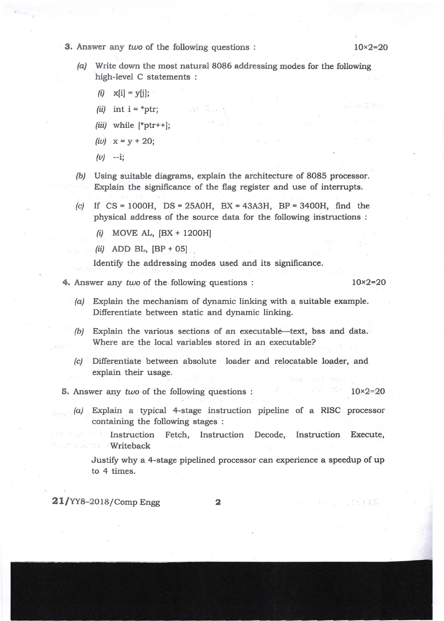- 3. Answer any two of the following questions :  $10 \times 2 = 20$ 
	-
	- (a) Write down the most natural 8086 addressing modes for the following high-level C statements :

- $(i)$   $\mathbf{x}[i] = \mathbf{y}[j];$
- (*ii*) int  $i = *ptr$ ;
- (*iii*) while  $[\text{*ptr++}]$ ;
- $(iv)$   $x = y + 20;$
- $(v)$  --i;
- /b/ Using suitable diagrams, explain the architecture of 8085 processor. Explain the significance of the flag register and use of interrupts.
- (c) If CS = IOOOH, DS = 25AOH, BX = 43A3H, BP = 3400H, find the physical address of the source data for the following instructions :
	- $(i)$  MOVE AL,  $[BX + 1200H]$
	- $(ii)$  ADD BL,  $[BP + 05]$

Identify the addressing modes used and its significance.

4. Answer any two of the following questions :  $10 \times 2 = 20$ 

and the second second

- (a/ Explain the mechanism of dynamic linking with a suitable example. Diferentiate between static and dynamic linking.
- $(b)$  Explain the various sections of an executable—text, bss and data. Where are the local variables stored in an executable?
- (c) Differentiate between absolute loader and relocatable loader, and explain their usage.
- 5. Answer any two of the following questions :  $10 \times 2 = 20$ 
	- /c/ Explain a typical 4-stage instruction pipeline of a RISC processor containing the following stages :
		- Instruction Fetch, Instruction Decode, Instruction Execute, Writeback

Justify why a 4-stage pipelined processor can experience a speedup of up to 4 times.

 $21/YY8-2018/Comp$  Engg

2